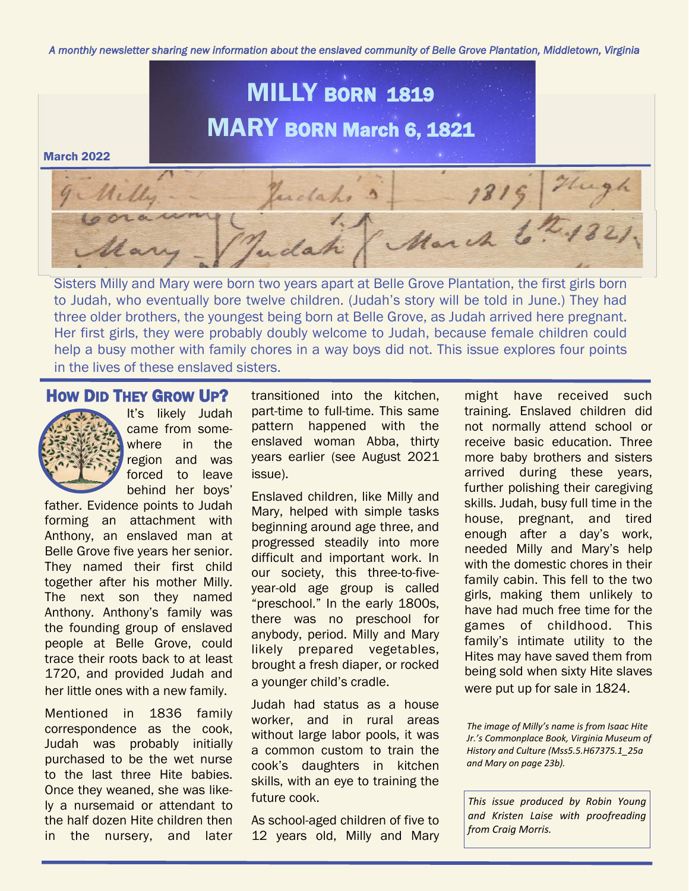*A monthly newsletter sharing new information about the enslaved community of Belle Grove Plantation, Middletown, Virginia* 



Sisters Milly and Mary were born two years apart at Belle Grove Plantation, the first girls born to Judah, who eventually bore twelve children. (Judah's story will be told in June.) They had three older brothers, the youngest being born at Belle Grove, as Judah arrived here pregnant. Her first girls, they were probably doubly welcome to Judah, because female children could help a busy mother with family chores in a way boys did not. This issue explores four points in the lives of these enslaved sisters.

#### HOW DID THEY GROW UP?



It's likely Judah came from somewhere in the region and was forced to leave behind her boys'

father. Evidence points to Judah forming an attachment with Anthony, an enslaved man at Belle Grove five years her senior. They named their first child together after his mother Milly. The next son they named Anthony. Anthony's family was the founding group of enslaved people at Belle Grove, could trace their roots back to at least 1720, and provided Judah and her little ones with a new family.

Mentioned in 1836 family correspondence as the cook, Judah was probably initially purchased to be the wet nurse to the last three Hite babies. Once they weaned, she was likely a nursemaid or attendant to the half dozen Hite children then in the nursery, and later transitioned into the kitchen, part-time to full-time. This same pattern happened with the enslaved woman Abba, thirty years earlier (see August 2021 issue).

Enslaved children, like Milly and Mary, helped with simple tasks beginning around age three, and progressed steadily into more difficult and important work. In our society, this three-to-fiveyear-old age group is called "preschool." In the early 1800s, there was no preschool for anybody, period. Milly and Mary likely prepared vegetables, brought a fresh diaper, or rocked a younger child's cradle.

Judah had status as a house worker, and in rural areas without large labor pools, it was a common custom to train the cook's daughters in kitchen skills, with an eye to training the future cook.

As school-aged children of five to 12 years old, Milly and Mary

might have received such training. Enslaved children did not normally attend school or receive basic education. Three more baby brothers and sisters arrived during these years, further polishing their caregiving skills. Judah, busy full time in the house, pregnant, and tired enough after a day's work, needed Milly and Mary's help with the domestic chores in their family cabin. This fell to the two girls, making them unlikely to have had much free time for the games of childhood. This family's intimate utility to the Hites may have saved them from being sold when sixty Hite slaves were put up for sale in 1824.

*The image of Milly's name is from Isaac Hite Jr.'s Commonplace Book, Virginia Museum of History and Culture (Mss5.5.H67375.1\_25a and Mary on page 23b).* 

*This issue produced by Robin Young and Kristen Laise with proofreading from Craig Morris.*